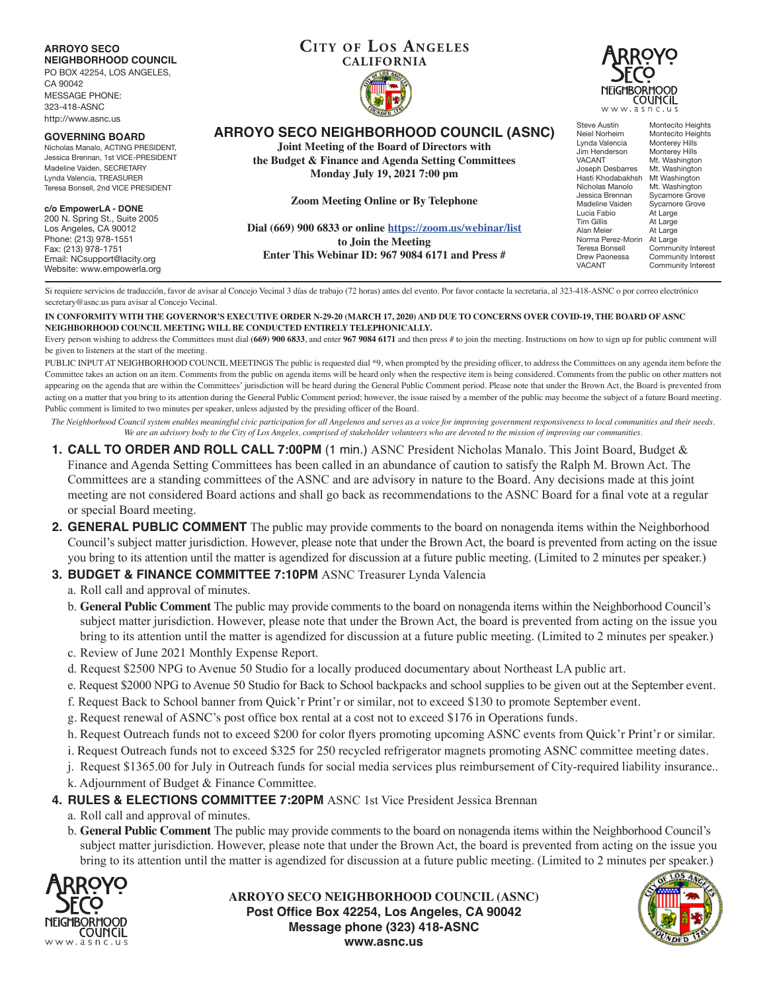## **ARROYO SECO NEIGHBORHOOD COUNCIL**

PO BOX 42254, LOS ANGELES, CA 90042 MESSAGE PHONE:

323-418-ASNC http://www.asnc.us

#### **GOVERNING BOARD**

Nicholas Manalo, ACTING PRESIDENT, Jessica Brennan, 1st VICE-PRESIDENT Madeline Vaiden, SECRETARY Lynda Valencia, TREASURER Teresa Bonsell, 2nd VICE PRESIDENT

#### **c/o EmpowerLA - DONE**

200 N. Spring St., Suite 2005 Los Angeles, CA 90012 Phone: (213) 978-1551 Fax: (213) 978-1751 Email: NCsupport@lacity.org Website: www.empowerla.org

# **CITY OF LOS ANGELES CALIFORNIA**



**ARROYO SECO NEIGHBORHOOD COUNCIL (ASNC)**

**Joint Meeting of the Board of Directors with the Budget & Finance and Agenda Setting Committees**

**Monday July 19, 2021 7:00 pm**

**Zoom Meeting Online or By Telephone**

**Dial (669) 900 6833 or online https://zoom.us/webinar/list to Join the Meeting Enter This Webinar ID: 967 9084 6171 and Press #**

Steve Austin Montecito Heights<br>Neiel Norheim Montecito Heights Montecito Heights<br>Monterey Hills Lynda Valencia Monterey Hills<br>Jim Henderson Monterey Hills Jim Henderson<br>VACANT Mt. Washington<br>Mt. Washington Joseph Desbarres<br>Hasti Khodabakhsh Hasti Khodabakhsh Mt Washington Nicholas Manolo Mt. Washington Jessica Brennan Sycamore Grove Madeline Vaiden Sycamore Grove<br>Lucia Fabio At Large <u>Lucia Fabio</u> At Large<br>Tim Gillis At Large Tim Gillis At Large<br>Alan Meier At Large At Large Norma Perez-Morin<br>Teresa Bonsell Norma Perez-Morin At Large<br>Teresa Bonsell Community Interest<br>Drew Paonessa Community Interest Drew Paonessa Community Interest<br>VACANT Community Interest Community Interest

Si requiere servicios de traducción, favor de avisar al Concejo Vecinal 3 días de trabajo (72 horas) antes del evento. Por favor contacte la secretaria, al 323-418-ASNC o por correo electrónico secretary@asnc.us para avisar al Concejo Vecinal.

#### **IN CONFORMITY WITH THE GOVERNOR'S EXECUTIVE ORDER N-29-20 (MARCH 17, 2020) AND DUE TO CONCERNS OVER COVID-19, THE BOARD OF ASNC NEIGHBORHOOD COUNCIL MEETING WILL BE CONDUCTED ENTIRELY TELEPHONICALLY.**

Every person wishing to address the Committees must dial **(669) 900 6833**, and enter **967 9084 6171** and then press # to join the meeting. Instructions on how to sign up for public comment will be given to listeners at the start of the meeting.

PUBLIC INPUT AT NEIGHBORHOOD COUNCIL MEETINGS The public is requested dial \*9, when prompted by the presiding officer, to address the Committees on any agenda item before the Committee takes an action on an item. Comments from the public on agenda items will be heard only when the respective item is being considered. Comments from the public on other matters not appearing on the agenda that are within the Committees' jurisdiction will be heard during the General Public Comment period. Please note that under the Brown Act, the Board is prevented from acting on a matter that you bring to its attention during the General Public Comment period; however, the issue raised by a member of the public may become the subject of a future Board meeting. Public comment is limited to two minutes per speaker, unless adjusted by the presiding officer of the Board.

*The Neighborhood Council system enables meaningful civic participation for all Angelenos and serves as a voice for improving government responsiveness to local communities and their needs. We are an advisory body to the City of Los Angeles, comprised of stakeholder volunteers who are devoted to the mission of improving our communities.*

- **1. CALL TO ORDER AND ROLL CALL 7:00PM** (1 min.) ASNC President Nicholas Manalo. This Joint Board, Budget & Finance and Agenda Setting Committees has been called in an abundance of caution to satisfy the Ralph M. Brown Act. The Committees are a standing committees of the ASNC and are advisory in nature to the Board. Any decisions made at this joint meeting are not considered Board actions and shall go back as recommendations to the ASNC Board for a final vote at a regular or special Board meeting.
- **2. GENERAL PUBLIC COMMENT** The public may provide comments to the board on nonagenda items within the Neighborhood Council's subject matter jurisdiction. However, please note that under the Brown Act, the board is prevented from acting on the issue you bring to its attention until the matter is agendized for discussion at a future public meeting. (Limited to 2 minutes per speaker.)

# **3. BUDGET & FINANCE COMMITTEE 7:10PM ASNC Treasurer Lynda Valencia**

a. Roll call and approval of minutes.

- b. **General Public Comment** The public may provide comments to the board on nonagenda items within the Neighborhood Council's subject matter jurisdiction. However, please note that under the Brown Act, the board is prevented from acting on the issue you bring to its attention until the matter is agendized for discussion at a future public meeting. (Limited to 2 minutes per speaker.)
- c. Review of June 2021 Monthly Expense Report.
- d. Request \$2500 NPG to Avenue 50 Studio for a locally produced documentary about Northeast LA public art.
- e. Request \$2000 NPG to Avenue 50 Studio for Back to School backpacks and school supplies to be given out at the September event.
- f. Request Back to School banner from Quick'r Print'r or similar, not to exceed \$130 to promote September event.
- g. Request renewal of ASNC's post office box rental at a cost not to exceed \$176 in Operations funds.
- h. Request Outreach funds not to exceed \$200 for color flyers promoting upcoming ASNC events from Quick'r Print'r or similar.
- i. Request Outreach funds not to exceed \$325 for 250 recycled refrigerator magnets promoting ASNC committee meeting dates.
- j. Request \$1365.00 for July in Outreach funds for social media services plus reimbursement of City-required liability insurance..
- k. Adjournment of Budget & Finance Committee.
- **4. RULES & ELECTIONS COMMITTEE 7:20PM** ASNC 1st Vice President Jessica Brennan

a. Roll call and approval of minutes.

b. **General Public Comment** The public may provide comments to the board on nonagenda items within the Neighborhood Council's subject matter jurisdiction. However, please note that under the Brown Act, the board is prevented from acting on the issue you bring to its attention until the matter is agendized for discussion at a future public meeting. (Limited to 2 minutes per speaker.)



**ARROYO SECO NEIGHBORHOOD COUNCIL (ASNC) Post Office Box 42254, Los Angeles, CA 90042 Message phone (323) 418-ASNC www.asnc.us**